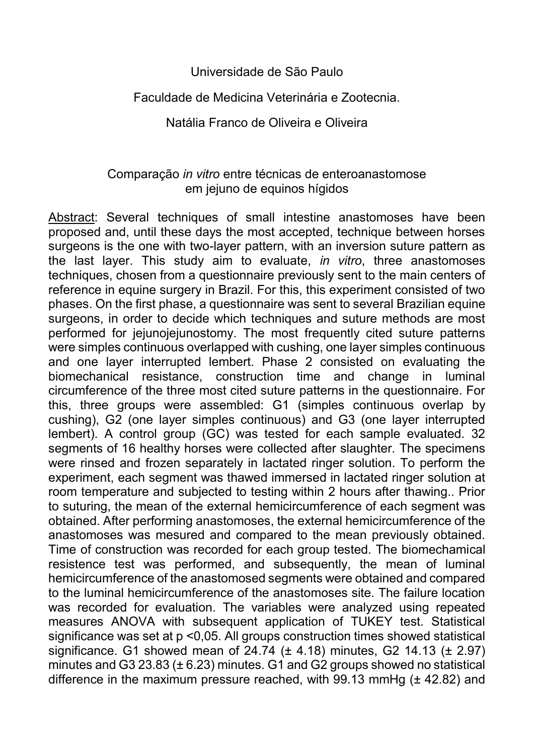## Universidade de São Paulo

## Faculdade de Medicina Veterinária e Zootecnia.

## Natália Franco de Oliveira e Oliveira

## Comparação *in vitro* entre técnicas de enteroanastomose em jejuno de equinos hígidos

Abstract: Several techniques of small intestine anastomoses have been proposed and, until these days the most accepted, technique between horses surgeons is the one with two-layer pattern, with an inversion suture pattern as the last layer. This study aim to evaluate, *in vitro*, three anastomoses techniques, chosen from a questionnaire previously sent to the main centers of reference in equine surgery in Brazil. For this, this experiment consisted of two phases. On the first phase, a questionnaire was sent to several Brazilian equine surgeons, in order to decide which techniques and suture methods are most performed for jejunojejunostomy. The most frequently cited suture patterns were simples continuous overlapped with cushing, one layer simples continuous and one layer interrupted lembert. Phase 2 consisted on evaluating the biomechanical resistance, construction time and change in luminal circumference of the three most cited suture patterns in the questionnaire. For this, three groups were assembled: G1 (simples continuous overlap by cushing), G2 (one layer simples continuous) and G3 (one layer interrupted lembert). A control group (GC) was tested for each sample evaluated. 32 segments of 16 healthy horses were collected after slaughter. The specimens were rinsed and frozen separately in lactated ringer solution. To perform the experiment, each segment was thawed immersed in lactated ringer solution at room temperature and subjected to testing within 2 hours after thawing.. Prior to suturing, the mean of the external hemicircumference of each segment was obtained. After performing anastomoses, the external hemicircumference of the anastomoses was mesured and compared to the mean previously obtained. Time of construction was recorded for each group tested. The biomechamical resistence test was performed, and subsequently, the mean of luminal hemicircumference of the anastomosed segments were obtained and compared to the luminal hemicircumference of the anastomoses site. The failure location was recorded for evaluation. The variables were analyzed using repeated measures ANOVA with subsequent application of TUKEY test. Statistical significance was set at p <0,05. All groups construction times showed statistical significance. G1 showed mean of  $24.74$  ( $\pm$  4.18) minutes, G2 14.13 ( $\pm$  2.97) minutes and G3 23.83 ( $\pm$  6.23) minutes. G1 and G2 groups showed no statistical difference in the maximum pressure reached, with 99.13 mmHg (± 42.82) and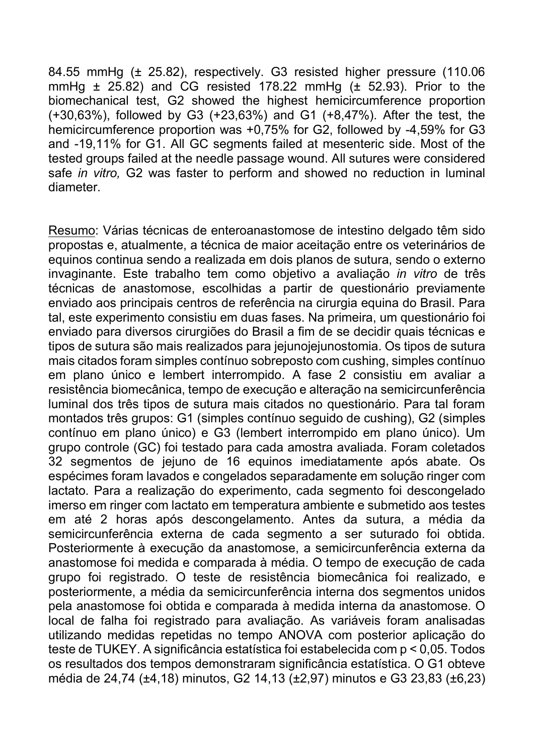84.55 mmHg (± 25.82), respectively. G3 resisted higher pressure (110.06 mmHg  $\pm$  25.82) and CG resisted 178.22 mmHg ( $\pm$  52.93). Prior to the biomechanical test, G2 showed the highest hemicircumference proportion (+30,63%), followed by G3 (+23,63%) and G1 (+8,47%). After the test, the hemicircumference proportion was +0,75% for G2, followed by -4,59% for G3 and -19,11% for G1. All GC segments failed at mesenteric side. Most of the tested groups failed at the needle passage wound. All sutures were considered safe *in vitro,* G2 was faster to perform and showed no reduction in luminal diameter.

Resumo: Várias técnicas de enteroanastomose de intestino delgado têm sido propostas e, atualmente, a técnica de maior aceitação entre os veterinários de equinos continua sendo a realizada em dois planos de sutura, sendo o externo invaginante. Este trabalho tem como objetivo a avaliação *in vitro* de três técnicas de anastomose, escolhidas a partir de questionário previamente enviado aos principais centros de referência na cirurgia equina do Brasil. Para tal, este experimento consistiu em duas fases. Na primeira, um questionário foi enviado para diversos cirurgiões do Brasil a fim de se decidir quais técnicas e tipos de sutura são mais realizados para jejunojejunostomia. Os tipos de sutura mais citados foram simples contínuo sobreposto com cushing, simples contínuo em plano único e lembert interrompido. A fase 2 consistiu em avaliar a resistência biomecânica, tempo de execução e alteração na semicircunferência luminal dos três tipos de sutura mais citados no questionário. Para tal foram montados três grupos: G1 (simples contínuo seguido de cushing), G2 (simples contínuo em plano único) e G3 (lembert interrompido em plano único). Um grupo controle (GC) foi testado para cada amostra avaliada. Foram coletados 32 segmentos de jejuno de 16 equinos imediatamente após abate. Os espécimes foram lavados e congelados separadamente em solução ringer com lactato. Para a realização do experimento, cada segmento foi descongelado imerso em ringer com lactato em temperatura ambiente e submetido aos testes em até 2 horas após descongelamento. Antes da sutura, a média da semicircunferência externa de cada segmento a ser suturado foi obtida. Posteriormente à execução da anastomose, a semicircunferência externa da anastomose foi medida e comparada à média. O tempo de execução de cada grupo foi registrado. O teste de resistência biomecânica foi realizado, e posteriormente, a média da semicircunferência interna dos segmentos unidos pela anastomose foi obtida e comparada à medida interna da anastomose. O local de falha foi registrado para avaliação. As variáveis foram analisadas utilizando medidas repetidas no tempo ANOVA com posterior aplicação do teste de TUKEY. A significância estatística foi estabelecida com p < 0,05. Todos os resultados dos tempos demonstraram significância estatística. O G1 obteve média de 24,74 (±4,18) minutos, G2 14,13 (±2,97) minutos e G3 23,83 (±6,23)